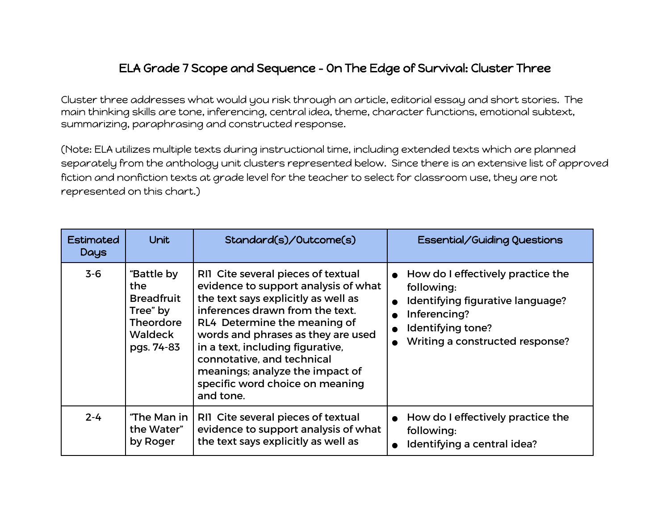## ELA Grade 7 Scope and Sequence - On The Edge of Survival: Cluster Three

Cluster three addresses what would you risk through an article, editorial essay and short stories. The main thinking skills are tone, inferencing, central idea, theme, character functions, emotional subtext, summarizing, paraphrasing and constructed response.

(Note: ELA utilizes multiple texts during instructional time, including extended texts which are planned separately from the anthology unit clusters represented below. Since there is an extensive list of approved fiction and nonfiction texts at grade level for the teacher to select for classroom use, they are not represented on this chart.)

| <b>Estimated</b><br>Days | <b>Unit</b>                                                                                     | Standard(s)/Outcome(s)                                                                                                                                                                                                                                                                                                                                                          | Essential/Guiding Questions                                                                                                                                              |
|--------------------------|-------------------------------------------------------------------------------------------------|---------------------------------------------------------------------------------------------------------------------------------------------------------------------------------------------------------------------------------------------------------------------------------------------------------------------------------------------------------------------------------|--------------------------------------------------------------------------------------------------------------------------------------------------------------------------|
| $3-6$                    | "Battle by<br>the<br><b>Breadfruit</b><br>Tree" by<br><b>Theordore</b><br>Waldeck<br>pgs. 74-83 | RII Cite several pieces of textual<br>evidence to support analysis of what<br>the text says explicitly as well as<br>inferences drawn from the text.<br>RL4 Determine the meaning of<br>words and phrases as they are used<br>in a text, including figurative,<br>connotative, and technical<br>meanings; analyze the impact of<br>specific word choice on meaning<br>and tone. | How do I effectively practice the<br>$\bullet$<br>following:<br>Identifying figurative language?<br>Inferencing?<br>Identifying tone?<br>Writing a constructed response? |
| $2 - 4$                  | "The Man in<br>the Water"<br>by Roger                                                           | RII Cite several pieces of textual<br>evidence to support analysis of what<br>the text says explicitly as well as                                                                                                                                                                                                                                                               | How do I effectively practice the<br>following:<br>Identifying a central idea?                                                                                           |